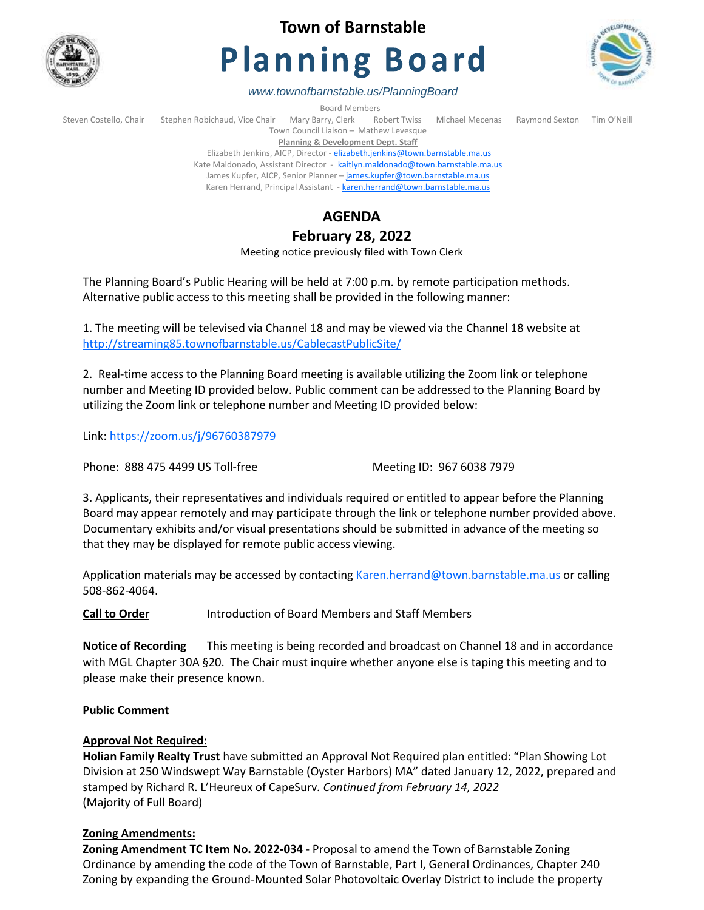

# **Town of Barnstable**

# **Planning Board**



*www.townofbarnstable.us/PlanningBoard*

**Board Members**<br>Barry, Clerk Robert Twiss Steven Costello, Chair Stephen Robichaud, Vice Chair Mary Barry, Clerk Robert Twiss Michael Mecenas Raymond Sexton Tim O'Neill Town Council Liaison – Mathew Levesque **Planning & Development Dept. Staff** 

Elizabeth Jenkins, AICP, Director - [elizabeth.jenkins@town.barnstable.ma.us](mailto:elizabeth.jenkins@town.barnstable.ma.us) Kate Maldonado, Assistant Director - [kaitlyn.maldonado@town.barnstable.ma.us](mailto:kaitlyn.maldonado@town.barnstable.ma.us) James Kupfer, AICP, Senior Planner - [james.kupfer@town.barnstable.ma.us](mailto:james.kupfer@town.barnstable.ma.us) Karen Herrand, Principal Assistant - [karen.herrand@town.barnstable.ma.us](mailto:karen.herrand@town.barnstable.ma.us)

# **AGENDA**

# **February 28, 2022**

Meeting notice previously filed with Town Clerk

The Planning Board's Public Hearing will be held at 7:00 p.m. by remote participation methods. Alternative public access to this meeting shall be provided in the following manner:

1. The meeting will be televised via Channel 18 and may be viewed via the Channel 18 website at <http://streaming85.townofbarnstable.us/CablecastPublicSite/>

2. Real-time access to the Planning Board meeting is available utilizing the Zoom link or telephone number and Meeting ID provided below. Public comment can be addressed to the Planning Board by utilizing the Zoom link or telephone number and Meeting ID provided below:

Link:<https://zoom.us/j/96760387979>

Phone: 888 475 4499 US Toll-free Meeting ID: 967 6038 7979

3. Applicants, their representatives and individuals required or entitled to appear before the Planning Board may appear remotely and may participate through the link or telephone number provided above. Documentary exhibits and/or visual presentations should be submitted in advance of the meeting so that they may be displayed for remote public access viewing.

Application materials may be accessed by contacting [Karen.herrand@town.barnstable.ma.us](mailto:Karen.herrand@town.barnstable.ma.us) or calling 508-862-4064.

**Call to Order** Introduction of Board Members and Staff Members

**Notice of Recording** This meeting is being recorded and broadcast on Channel 18 and in accordance with MGL Chapter 30A §20. The Chair must inquire whether anyone else is taping this meeting and to please make their presence known.

# **Public Comment**

# **Approval Not Required:**

**Holian Family Realty Trust** have submitted an Approval Not Required plan entitled: "Plan Showing Lot Division at 250 Windswept Way Barnstable (Oyster Harbors) MA" dated January 12, 2022, prepared and stamped by Richard R. L'Heureux of CapeSurv*. Continued from February 14, 2022* (Majority of Full Board)

# **Zoning Amendments:**

**Zoning Amendment TC Item No. 2022-034** - Proposal to amend the Town of Barnstable Zoning Ordinance by amending the code of the Town of Barnstable, Part I, General Ordinances, Chapter 240 Zoning by expanding the Ground-Mounted Solar Photovoltaic Overlay District to include the property